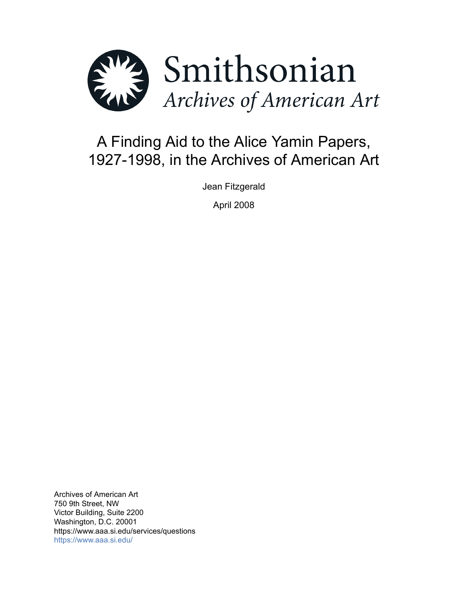

# A Finding Aid to the Alice Yamin Papers, 1927-1998, in the Archives of American Art

Jean Fitzgerald

April 2008

Archives of American Art 750 9th Street, NW Victor Building, Suite 2200 Washington, D.C. 20001 https://www.aaa.si.edu/services/questions <https://www.aaa.si.edu/>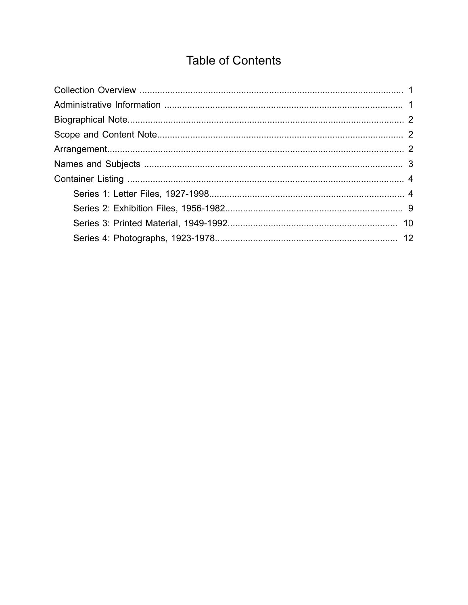# **Table of Contents**

<span id="page-1-0"></span>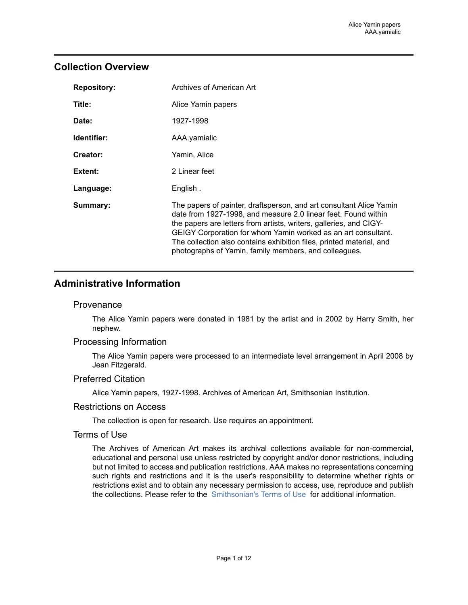## <span id="page-2-0"></span>**Collection Overview**

| <b>Repository:</b> | Archives of American Art                                                                                                                                                                                                                                                                                                                                                                                      |
|--------------------|---------------------------------------------------------------------------------------------------------------------------------------------------------------------------------------------------------------------------------------------------------------------------------------------------------------------------------------------------------------------------------------------------------------|
| Title:             | Alice Yamin papers                                                                                                                                                                                                                                                                                                                                                                                            |
| Date:              | 1927-1998                                                                                                                                                                                                                                                                                                                                                                                                     |
| Identifier:        | AAA.yamialic                                                                                                                                                                                                                                                                                                                                                                                                  |
| Creator:           | Yamin, Alice                                                                                                                                                                                                                                                                                                                                                                                                  |
| Extent:            | 2 Linear feet                                                                                                                                                                                                                                                                                                                                                                                                 |
| Language:          | English.                                                                                                                                                                                                                                                                                                                                                                                                      |
| Summary:           | The papers of painter, draftsperson, and art consultant Alice Yamin<br>date from 1927-1998, and measure 2.0 linear feet. Found within<br>the papers are letters from artists, writers, galleries, and CIGY-<br>GEIGY Corporation for whom Yamin worked as an art consultant.<br>The collection also contains exhibition files, printed material, and<br>photographs of Yamin, family members, and colleagues. |

## <span id="page-2-1"></span>**Administrative Information**

## **Provenance**

The Alice Yamin papers were donated in 1981 by the artist and in 2002 by Harry Smith, her nephew.

## Processing Information

The Alice Yamin papers were processed to an intermediate level arrangement in April 2008 by Jean Fitzgerald.

#### Preferred Citation

Alice Yamin papers, 1927-1998. Archives of American Art, Smithsonian Institution.

#### Restrictions on Access

The collection is open for research. Use requires an appointment.

### Terms of Use

The Archives of American Art makes its archival collections available for non-commercial, educational and personal use unless restricted by copyright and/or donor restrictions, including but not limited to access and publication restrictions. AAA makes no representations concerning such rights and restrictions and it is the user's responsibility to determine whether rights or restrictions exist and to obtain any necessary permission to access, use, reproduce and publish the collections. Please refer to the [Smithsonian's](https://www.si.edu/termsofuse) Terms of Use for additional information.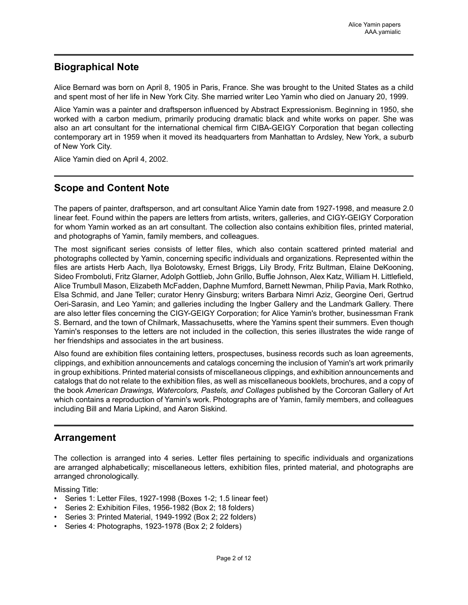# <span id="page-3-0"></span>**Biographical Note**

Alice Bernard was born on April 8, 1905 in Paris, France. She was brought to the United States as a child and spent most of her life in New York City. She married writer Leo Yamin who died on January 20, 1999.

Alice Yamin was a painter and draftsperson influenced by Abstract Expressionism. Beginning in 1950, she worked with a carbon medium, primarily producing dramatic black and white works on paper. She was also an art consultant for the international chemical firm CIBA-GEIGY Corporation that began collecting contemporary art in 1959 when it moved its headquarters from Manhattan to Ardsley, New York, a suburb of New York City.

Alice Yamin died on April 4, 2002.

# <span id="page-3-1"></span>**Scope and Content Note**

The papers of painter, draftsperson, and art consultant Alice Yamin date from 1927-1998, and measure 2.0 linear feet. Found within the papers are letters from artists, writers, galleries, and CIGY-GEIGY Corporation for whom Yamin worked as an art consultant. The collection also contains exhibition files, printed material, and photographs of Yamin, family members, and colleagues.

The most significant series consists of letter files, which also contain scattered printed material and photographs collected by Yamin, concerning specific individuals and organizations. Represented within the files are artists Herb Aach, Ilya Bolotowsky, Ernest Briggs, Lily Brody, Fritz Bultman, Elaine DeKooning, Sideo Fromboluti, Fritz Glarner, Adolph Gottlieb, John Grillo, Buffie Johnson, Alex Katz, William H. Littlefield, Alice Trumbull Mason, Elizabeth McFadden, Daphne Mumford, Barnett Newman, Philip Pavia, Mark Rothko, Elsa Schmid, and Jane Teller; curator Henry Ginsburg; writers Barbara Nimri Aziz, Georgine Oeri, Gertrud Oeri-Sarasin, and Leo Yamin; and galleries including the Ingber Gallery and the Landmark Gallery. There are also letter files concerning the CIGY-GEIGY Corporation; for Alice Yamin's brother, businessman Frank S. Bernard, and the town of Chilmark, Massachusetts, where the Yamins spent their summers. Even though Yamin's responses to the letters are not included in the collection, this series illustrates the wide range of her friendships and associates in the art business.

Also found are exhibition files containing letters, prospectuses, business records such as loan agreements, clippings, and exhibition announcements and catalogs concerning the inclusion of Yamin's art work primarily in group exhibitions. Printed material consists of miscellaneous clippings, and exhibition announcements and catalogs that do not relate to the exhibition files, as well as miscellaneous booklets, brochures, and a copy of the book *American Drawings, Watercolors, Pastels, and Collages* published by the Corcoran Gallery of Art which contains a reproduction of Yamin's work. Photographs are of Yamin, family members, and colleagues including Bill and Maria Lipkind, and Aaron Siskind.

# <span id="page-3-2"></span>**Arrangement**

The collection is arranged into 4 series. Letter files pertaining to specific individuals and organizations are arranged alphabetically; miscellaneous letters, exhibition files, printed material, and photographs are arranged chronologically.

Missing Title:

- Series 1: Letter Files, 1927-1998 (Boxes 1-2; 1.5 linear feet)
- Series 2: Exhibition Files, 1956-1982 (Box 2; 18 folders)
- Series 3: Printed Material, 1949-1992 (Box 2; 22 folders)
- Series 4: Photographs, 1923-1978 (Box 2; 2 folders)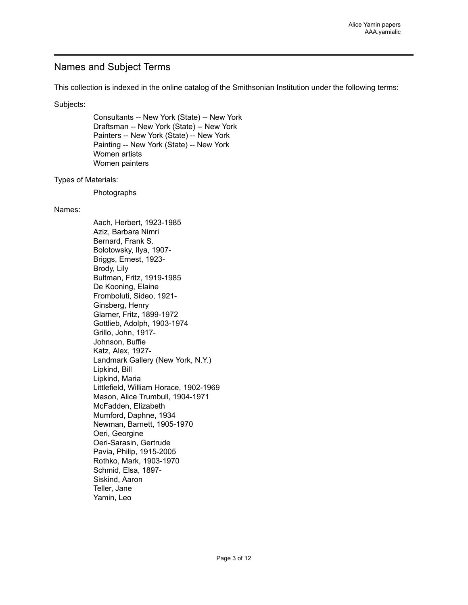## <span id="page-4-0"></span>Names and Subject Terms

This collection is indexed in the online catalog of the Smithsonian Institution under the following terms:

Subjects:

Consultants -- New York (State) -- New York Draftsman -- New York (State) -- New York Painters -- New York (State) -- New York Painting -- New York (State) -- New York Women artists Women painters

#### Types of Materials:

Photographs

#### Names:

Aach, Herbert, 1923-1985 Aziz, Barbara Nimri Bernard, Frank S. Bolotowsky, Ilya, 1907- Briggs, Ernest, 1923- Brody, Lily Bultman, Fritz, 1919-1985 De Kooning, Elaine Fromboluti, Sideo, 1921- Ginsberg, Henry Glarner, Fritz, 1899-1972 Gottlieb, Adolph, 1903-1974 Grillo, John, 1917- Johnson, Buffie Katz, Alex, 1927- Landmark Gallery (New York, N.Y.) Lipkind, Bill Lipkind, Maria Littlefield, William Horace, 1902-1969 Mason, Alice Trumbull, 1904-1971 McFadden, Elizabeth Mumford, Daphne, 1934 Newman, Barnett, 1905-1970 Oeri, Georgine Oeri-Sarasin, Gertrude Pavia, Philip, 1915-2005 Rothko, Mark, 1903-1970 Schmid, Elsa, 1897- Siskind, Aaron Teller, Jane Yamin, Leo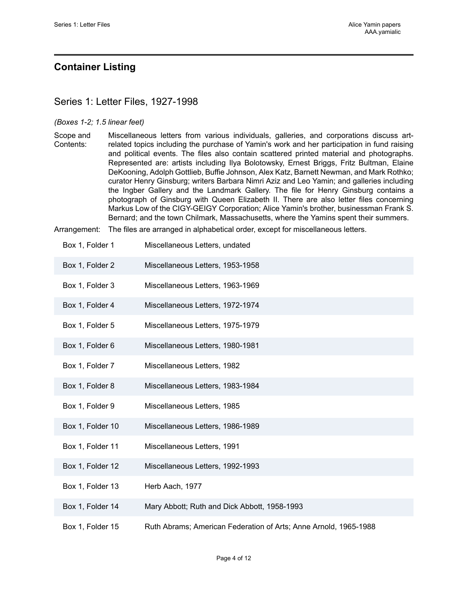## <span id="page-5-0"></span>**Container Listing**

## <span id="page-5-1"></span>Series 1: Letter Files, 1927-1998

#### *(Boxes 1-2; 1.5 linear feet)*

Scope and Contents: Miscellaneous letters from various individuals, galleries, and corporations discuss artrelated topics including the purchase of Yamin's work and her participation in fund raising and political events. The files also contain scattered printed material and photographs. Represented are: artists including Ilya Bolotowsky, Ernest Briggs, Fritz Bultman, Elaine DeKooning, Adolph Gottlieb, Buffie Johnson, Alex Katz, Barnett Newman, and Mark Rothko; curator Henry Ginsburg; writers Barbara Nimri Aziz and Leo Yamin; and galleries including the Ingber Gallery and the Landmark Gallery. The file for Henry Ginsburg contains a photograph of Ginsburg with Queen Elizabeth II. There are also letter files concerning Markus Low of the CIGY-GEIGY Corporation; Alice Yamin's brother, businessman Frank S. Bernard; and the town Chilmark, Massachusetts, where the Yamins spent their summers.

Arrangement: The files are arranged in alphabetical order, except for miscellaneous letters.

| Box 1, Folder 1  | Miscellaneous Letters, undated                                   |
|------------------|------------------------------------------------------------------|
| Box 1, Folder 2  | Miscellaneous Letters, 1953-1958                                 |
| Box 1, Folder 3  | Miscellaneous Letters, 1963-1969                                 |
| Box 1, Folder 4  | Miscellaneous Letters, 1972-1974                                 |
| Box 1, Folder 5  | Miscellaneous Letters, 1975-1979                                 |
| Box 1, Folder 6  | Miscellaneous Letters, 1980-1981                                 |
| Box 1, Folder 7  | Miscellaneous Letters, 1982                                      |
| Box 1, Folder 8  | Miscellaneous Letters, 1983-1984                                 |
| Box 1, Folder 9  | Miscellaneous Letters, 1985                                      |
| Box 1, Folder 10 | Miscellaneous Letters, 1986-1989                                 |
| Box 1, Folder 11 | Miscellaneous Letters, 1991                                      |
| Box 1, Folder 12 | Miscellaneous Letters, 1992-1993                                 |
| Box 1, Folder 13 | Herb Aach, 1977                                                  |
| Box 1, Folder 14 | Mary Abbott; Ruth and Dick Abbott, 1958-1993                     |
| Box 1, Folder 15 | Ruth Abrams; American Federation of Arts; Anne Arnold, 1965-1988 |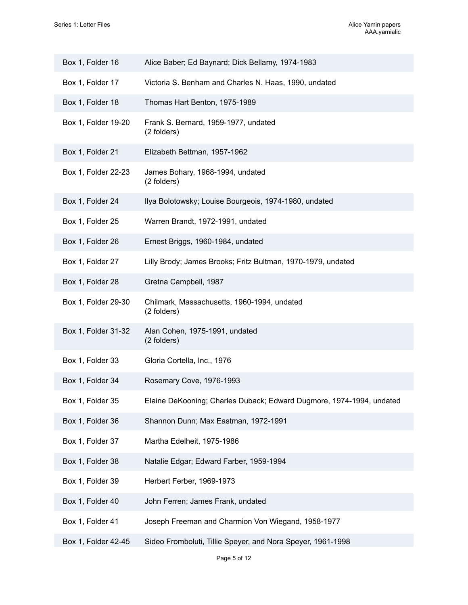| Box 1, Folder 16    | Alice Baber; Ed Baynard; Dick Bellamy, 1974-1983                     |
|---------------------|----------------------------------------------------------------------|
| Box 1, Folder 17    | Victoria S. Benham and Charles N. Haas, 1990, undated                |
| Box 1, Folder 18    | Thomas Hart Benton, 1975-1989                                        |
| Box 1, Folder 19-20 | Frank S. Bernard, 1959-1977, undated<br>(2 folders)                  |
| Box 1, Folder 21    | Elizabeth Bettman, 1957-1962                                         |
| Box 1, Folder 22-23 | James Bohary, 1968-1994, undated<br>(2 folders)                      |
| Box 1, Folder 24    | Ilya Bolotowsky; Louise Bourgeois, 1974-1980, undated                |
| Box 1, Folder 25    | Warren Brandt, 1972-1991, undated                                    |
| Box 1, Folder 26    | Ernest Briggs, 1960-1984, undated                                    |
| Box 1, Folder 27    | Lilly Brody; James Brooks; Fritz Bultman, 1970-1979, undated         |
| Box 1, Folder 28    | Gretna Campbell, 1987                                                |
| Box 1, Folder 29-30 | Chilmark, Massachusetts, 1960-1994, undated<br>(2 folders)           |
| Box 1, Folder 31-32 | Alan Cohen, 1975-1991, undated<br>(2 folders)                        |
| Box 1, Folder 33    | Gloria Cortella, Inc., 1976                                          |
| Box 1, Folder 34    | Rosemary Cove, 1976-1993                                             |
| Box 1, Folder 35    | Elaine DeKooning; Charles Duback; Edward Dugmore, 1974-1994, undated |
| Box 1, Folder 36    | Shannon Dunn; Max Eastman, 1972-1991                                 |
| Box 1, Folder 37    | Martha Edelheit, 1975-1986                                           |
| Box 1, Folder 38    | Natalie Edgar; Edward Farber, 1959-1994                              |
| Box 1, Folder 39    | Herbert Ferber, 1969-1973                                            |
| Box 1, Folder 40    | John Ferren; James Frank, undated                                    |
| Box 1, Folder 41    | Joseph Freeman and Charmion Von Wiegand, 1958-1977                   |
| Box 1, Folder 42-45 | Sideo Fromboluti, Tillie Speyer, and Nora Speyer, 1961-1998          |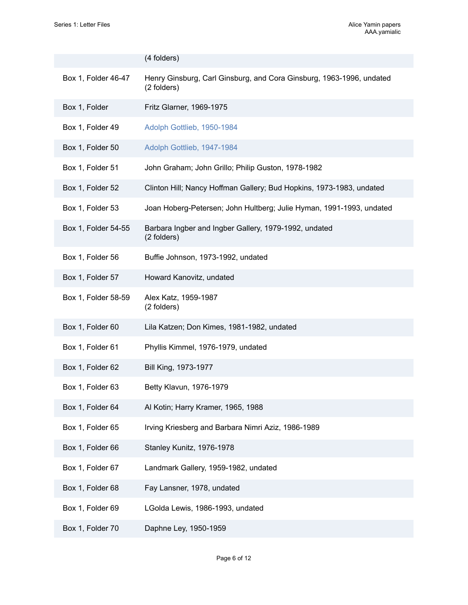|                     | (4 folders)                                                                         |
|---------------------|-------------------------------------------------------------------------------------|
| Box 1, Folder 46-47 | Henry Ginsburg, Carl Ginsburg, and Cora Ginsburg, 1963-1996, undated<br>(2 folders) |
| Box 1, Folder       | Fritz Glarner, 1969-1975                                                            |
| Box 1, Folder 49    | Adolph Gottlieb, 1950-1984                                                          |
| Box 1, Folder 50    | Adolph Gottlieb, 1947-1984                                                          |
| Box 1, Folder 51    | John Graham; John Grillo; Philip Guston, 1978-1982                                  |
| Box 1, Folder 52    | Clinton Hill; Nancy Hoffman Gallery; Bud Hopkins, 1973-1983, undated                |
| Box 1, Folder 53    | Joan Hoberg-Petersen; John Hultberg; Julie Hyman, 1991-1993, undated                |
| Box 1, Folder 54-55 | Barbara Ingber and Ingber Gallery, 1979-1992, undated<br>(2 folders)                |
| Box 1, Folder 56    | Buffie Johnson, 1973-1992, undated                                                  |
| Box 1, Folder 57    | Howard Kanovitz, undated                                                            |
| Box 1, Folder 58-59 | Alex Katz, 1959-1987<br>(2 folders)                                                 |
| Box 1, Folder 60    | Lila Katzen; Don Kimes, 1981-1982, undated                                          |
| Box 1, Folder 61    | Phyllis Kimmel, 1976-1979, undated                                                  |
| Box 1, Folder 62    | Bill King, 1973-1977                                                                |
| Box 1, Folder 63    | Betty Klavun, 1976-1979                                                             |
| Box 1, Folder 64    | Al Kotin; Harry Kramer, 1965, 1988                                                  |
| Box 1, Folder 65    | Irving Kriesberg and Barbara Nimri Aziz, 1986-1989                                  |
| Box 1, Folder 66    | Stanley Kunitz, 1976-1978                                                           |
| Box 1, Folder 67    | Landmark Gallery, 1959-1982, undated                                                |
| Box 1, Folder 68    | Fay Lansner, 1978, undated                                                          |
| Box 1, Folder 69    | LGolda Lewis, 1986-1993, undated                                                    |
| Box 1, Folder 70    | Daphne Ley, 1950-1959                                                               |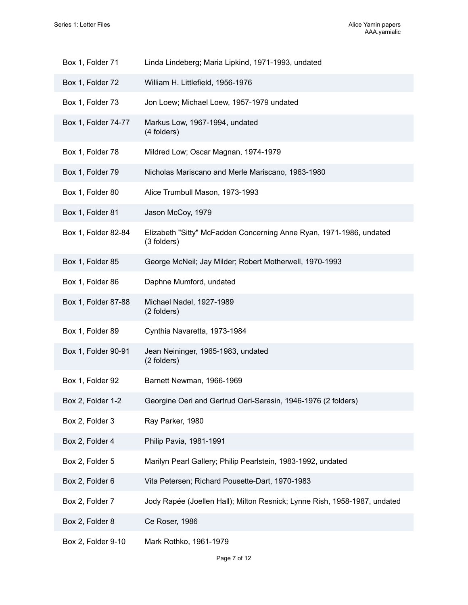| Box 1, Folder 71    | Linda Lindeberg; Maria Lipkind, 1971-1993, undated                                 |
|---------------------|------------------------------------------------------------------------------------|
| Box 1, Folder 72    | William H. Littlefield, 1956-1976                                                  |
| Box 1, Folder 73    | Jon Loew; Michael Loew, 1957-1979 undated                                          |
| Box 1, Folder 74-77 | Markus Low, 1967-1994, undated<br>(4 folders)                                      |
| Box 1, Folder 78    | Mildred Low; Oscar Magnan, 1974-1979                                               |
| Box 1, Folder 79    | Nicholas Mariscano and Merle Mariscano, 1963-1980                                  |
| Box 1, Folder 80    | Alice Trumbull Mason, 1973-1993                                                    |
| Box 1, Folder 81    | Jason McCoy, 1979                                                                  |
| Box 1, Folder 82-84 | Elizabeth "Sitty" McFadden Concerning Anne Ryan, 1971-1986, undated<br>(3 folders) |
| Box 1, Folder 85    | George McNeil; Jay Milder; Robert Motherwell, 1970-1993                            |
| Box 1, Folder 86    | Daphne Mumford, undated                                                            |
| Box 1, Folder 87-88 | Michael Nadel, 1927-1989<br>(2 folders)                                            |
| Box 1, Folder 89    | Cynthia Navaretta, 1973-1984                                                       |
| Box 1, Folder 90-91 | Jean Neininger, 1965-1983, undated<br>(2 folders)                                  |
| Box 1, Folder 92    | Barnett Newman, 1966-1969                                                          |
| Box 2, Folder 1-2   | Georgine Oeri and Gertrud Oeri-Sarasin, 1946-1976 (2 folders)                      |
| Box 2, Folder 3     | Ray Parker, 1980                                                                   |
| Box 2, Folder 4     | Philip Pavia, 1981-1991                                                            |
| Box 2, Folder 5     | Marilyn Pearl Gallery; Philip Pearlstein, 1983-1992, undated                       |
| Box 2, Folder 6     | Vita Petersen; Richard Pousette-Dart, 1970-1983                                    |
| Box 2, Folder 7     | Jody Rapée (Joellen Hall); Milton Resnick; Lynne Rish, 1958-1987, undated          |
| Box 2, Folder 8     | Ce Roser, 1986                                                                     |
| Box 2, Folder 9-10  | Mark Rothko, 1961-1979                                                             |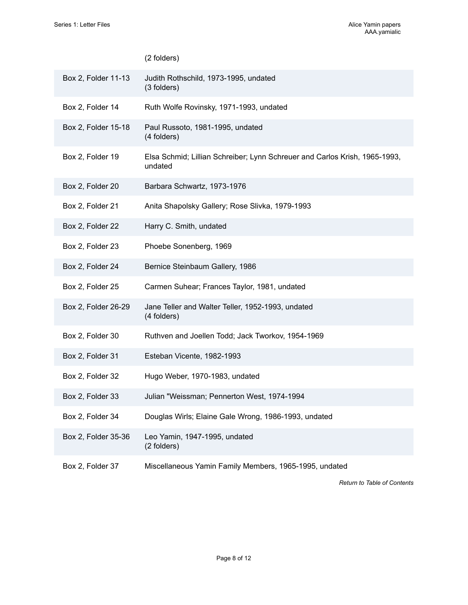## (2 folders)

| Box 2, Folder 11-13 | Judith Rothschild, 1973-1995, undated<br>(3 folders)                                  |
|---------------------|---------------------------------------------------------------------------------------|
| Box 2, Folder 14    | Ruth Wolfe Rovinsky, 1971-1993, undated                                               |
| Box 2, Folder 15-18 | Paul Russoto, 1981-1995, undated<br>(4 folders)                                       |
| Box 2, Folder 19    | Elsa Schmid; Lillian Schreiber; Lynn Schreuer and Carlos Krish, 1965-1993,<br>undated |
| Box 2, Folder 20    | Barbara Schwartz, 1973-1976                                                           |
| Box 2, Folder 21    | Anita Shapolsky Gallery; Rose Slivka, 1979-1993                                       |
| Box 2, Folder 22    | Harry C. Smith, undated                                                               |
| Box 2, Folder 23    | Phoebe Sonenberg, 1969                                                                |
| Box 2, Folder 24    | Bernice Steinbaum Gallery, 1986                                                       |
| Box 2, Folder 25    | Carmen Suhear; Frances Taylor, 1981, undated                                          |
| Box 2, Folder 26-29 | Jane Teller and Walter Teller, 1952-1993, undated<br>(4 folders)                      |
| Box 2, Folder 30    | Ruthven and Joellen Todd; Jack Tworkov, 1954-1969                                     |
| Box 2, Folder 31    | Esteban Vicente, 1982-1993                                                            |
| Box 2, Folder 32    | Hugo Weber, 1970-1983, undated                                                        |
| Box 2, Folder 33    | Julian "Weissman; Pennerton West, 1974-1994                                           |
| Box 2, Folder 34    | Douglas Wirls; Elaine Gale Wrong, 1986-1993, undated                                  |
| Box 2, Folder 35-36 | Leo Yamin, 1947-1995, undated<br>(2 folders)                                          |
| Box 2, Folder 37    | Miscellaneous Yamin Family Members, 1965-1995, undated                                |

*Return to Table of [Contents](#page-1-0)*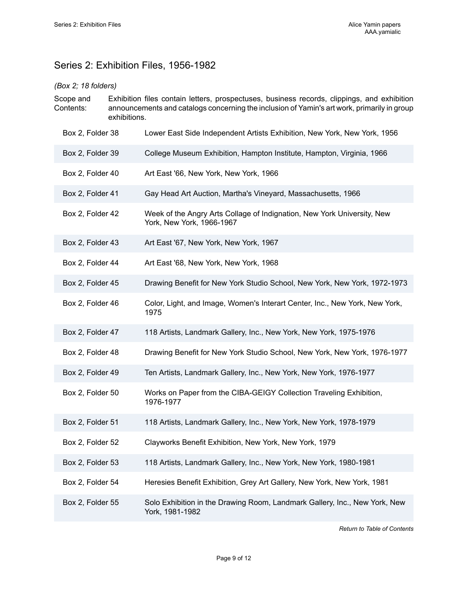# <span id="page-10-0"></span>Series 2: Exhibition Files, 1956-1982

## *(Box 2; 18 folders)*

- Scope and Contents: Exhibition files contain letters, prospectuses, business records, clippings, and exhibition announcements and catalogs concerning the inclusion of Yamin's art work, primarily in group exhibitions.
	- Box 2, Folder 38 Lower East Side Independent Artists Exhibition, New York, New York, 1956
	- Box 2, Folder 39 College Museum Exhibition, Hampton Institute, Hampton, Virginia, 1966
	- Box 2, Folder 40 Art East '66, New York, New York, 1966
	- Box 2, Folder 41 Gay Head Art Auction, Martha's Vineyard, Massachusetts, 1966
	- Box 2, Folder 42 Week of the Angry Arts Collage of Indignation, New York University, New York, New York, 1966-1967
	- Box 2, Folder 43 Art East '67, New York, New York, 1967
	- Box 2, Folder 44 Art East '68, New York, New York, 1968
	- Box 2, Folder 45 Drawing Benefit for New York Studio School, New York, New York, 1972-1973
	- Box 2, Folder 46 Color, Light, and Image, Women's Interart Center, Inc., New York, New York, 1975
	- Box 2, Folder 47 118 Artists, Landmark Gallery, Inc., New York, New York, 1975-1976
	- Box 2, Folder 48 Drawing Benefit for New York Studio School, New York, New York, 1976-1977
	- Box 2, Folder 49 Ten Artists, Landmark Gallery, Inc., New York, New York, 1976-1977
	- Box 2, Folder 50 Works on Paper from the CIBA-GEIGY Collection Traveling Exhibition, 1976-1977
	- Box 2, Folder 51 118 Artists, Landmark Gallery, Inc., New York, New York, 1978-1979
	- Box 2, Folder 52 Clayworks Benefit Exhibition, New York, New York, 1979
	- Box 2, Folder 53 118 Artists, Landmark Gallery, Inc., New York, New York, 1980-1981
	- Box 2, Folder 54 Heresies Benefit Exhibition, Grey Art Gallery, New York, New York, 1981
	- Box 2, Folder 55 Solo Exhibition in the Drawing Room, Landmark Gallery, Inc., New York, New York, 1981-1982

*Return to Table of [Contents](#page-1-0)*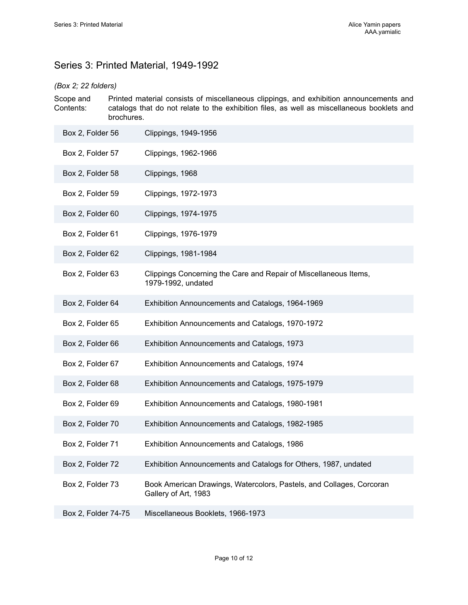# <span id="page-11-0"></span>Series 3: Printed Material, 1949-1992

## *(Box 2; 22 folders)*

Scope and Contents: Printed material consists of miscellaneous clippings, and exhibition announcements and catalogs that do not relate to the exhibition files, as well as miscellaneous booklets and brochures.

| Box 2, Folder 56    | Clippings, 1949-1956                                                                         |
|---------------------|----------------------------------------------------------------------------------------------|
| Box 2, Folder 57    | Clippings, 1962-1966                                                                         |
| Box 2, Folder 58    | Clippings, 1968                                                                              |
| Box 2, Folder 59    | Clippings, 1972-1973                                                                         |
| Box 2, Folder 60    | Clippings, 1974-1975                                                                         |
| Box 2, Folder 61    | Clippings, 1976-1979                                                                         |
| Box 2, Folder 62    | Clippings, 1981-1984                                                                         |
| Box 2, Folder 63    | Clippings Concerning the Care and Repair of Miscellaneous Items,<br>1979-1992, undated       |
| Box 2, Folder 64    | Exhibition Announcements and Catalogs, 1964-1969                                             |
| Box 2, Folder 65    | Exhibition Announcements and Catalogs, 1970-1972                                             |
| Box 2, Folder 66    | Exhibition Announcements and Catalogs, 1973                                                  |
| Box 2, Folder 67    | Exhibition Announcements and Catalogs, 1974                                                  |
| Box 2, Folder 68    | Exhibition Announcements and Catalogs, 1975-1979                                             |
| Box 2, Folder 69    | Exhibition Announcements and Catalogs, 1980-1981                                             |
| Box 2, Folder 70    | Exhibition Announcements and Catalogs, 1982-1985                                             |
| Box 2, Folder 71    | Exhibition Announcements and Catalogs, 1986                                                  |
| Box 2, Folder 72    | Exhibition Announcements and Catalogs for Others, 1987, undated                              |
| Box 2, Folder 73    | Book American Drawings, Watercolors, Pastels, and Collages, Corcoran<br>Gallery of Art, 1983 |
| Box 2, Folder 74-75 | Miscellaneous Booklets, 1966-1973                                                            |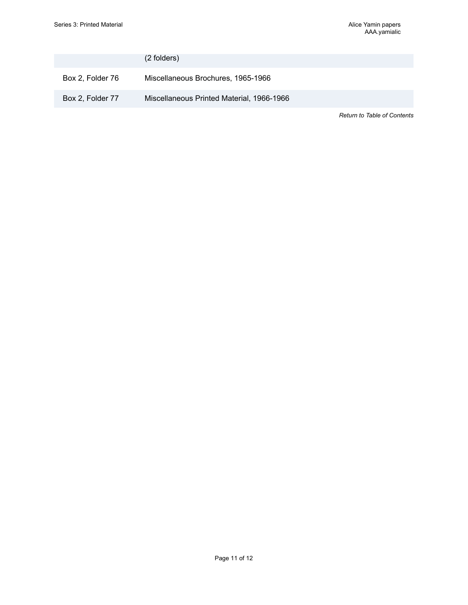|                  | (2 folders)                               |                                    |
|------------------|-------------------------------------------|------------------------------------|
| Box 2, Folder 76 | Miscellaneous Brochures, 1965-1966        |                                    |
| Box 2, Folder 77 | Miscellaneous Printed Material, 1966-1966 |                                    |
|                  |                                           | <b>Return to Table of Contents</b> |